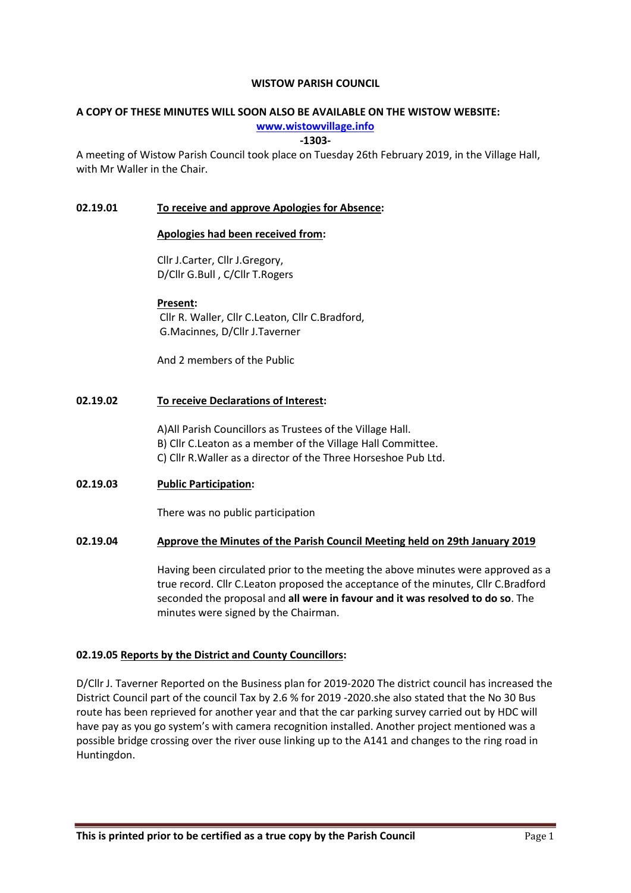#### WISTOW PARISH COUNCIL

# A COPY OF THESE MINUTES WILL SOON ALSO BE AVAILABLE ON THE WISTOW WEBSITE:

www.wistowvillage.info

-1303-

A meeting of Wistow Parish Council took place on Tuesday 26th February 2019, in the Village Hall, with Mr Waller in the Chair.

## 02.19.01 To receive and approve Apologies for Absence:

#### Apologies had been received from:

Cllr J.Carter, Cllr J.Gregory, D/Cllr G.Bull , C/Cllr T.Rogers

## Present:

 Cllr R. Waller, Cllr C.Leaton, Cllr C.Bradford, G.Macinnes, D/Cllr J.Taverner

And 2 members of the Public

## 02.19.02 To receive Declarations of Interest:

A)All Parish Councillors as Trustees of the Village Hall. B) Cllr C.Leaton as a member of the Village Hall Committee. C) Cllr R.Waller as a director of the Three Horseshoe Pub Ltd.

# 02.19.03 Public Participation:

There was no public participation

## 02.19.04 Approve the Minutes of the Parish Council Meeting held on 29th January 2019

Having been circulated prior to the meeting the above minutes were approved as a true record. Cllr C.Leaton proposed the acceptance of the minutes, Cllr C.Bradford seconded the proposal and all were in favour and it was resolved to do so. The minutes were signed by the Chairman.

## 02.19.05 Reports by the District and County Councillors:

D/Cllr J. Taverner Reported on the Business plan for 2019-2020 The district council has increased the District Council part of the council Tax by 2.6 % for 2019 -2020.she also stated that the No 30 Bus route has been reprieved for another year and that the car parking survey carried out by HDC will have pay as you go system's with camera recognition installed. Another project mentioned was a possible bridge crossing over the river ouse linking up to the A141 and changes to the ring road in Huntingdon.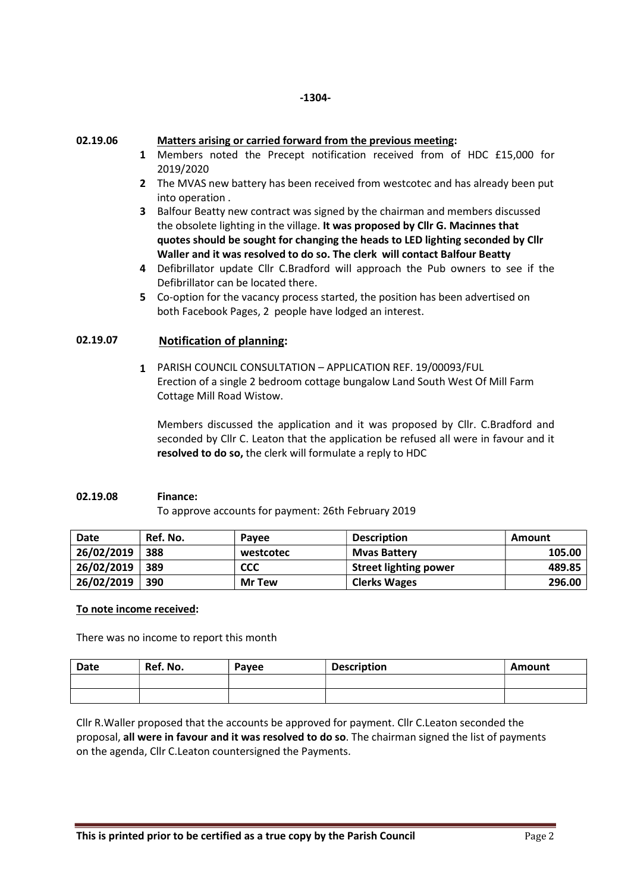02.19.06

## Matters arising or carried forward from the previous meeting:

- 1 Members noted the Precept notification received from of HDC £15,000 for 2019/2020
- 2 The MVAS new battery has been received from westcotec and has already been put into operation .
- 3 Balfour Beatty new contract was signed by the chairman and members discussed the obsolete lighting in the village. It was proposed by Cllr G. Macinnes that quotes should be sought for changing the heads to LED lighting seconded by Cllr Waller and it was resolved to do so. The clerk will contact Balfour Beatty
- 4 Defibrillator update Cllr C.Bradford will approach the Pub owners to see if the Defibrillator can be located there.
- 5 Co-option for the vacancy process started, the position has been advertised on both Facebook Pages, 2 people have lodged an interest.

#### 02.19.07 Notification of planning:

1 PARISH COUNCIL CONSULTATION – APPLICATION REF. 19/00093/FUL Erection of a single 2 bedroom cottage bungalow Land South West Of Mill Farm Cottage Mill Road Wistow.

Members discussed the application and it was proposed by Cllr. C.Bradford and seconded by Cllr C. Leaton that the application be refused all were in favour and it resolved to do so, the clerk will formulate a reply to HDC

## 02.19.08 Finance:

To approve accounts for payment: 26th February 2019

| <b>Date</b> | Ref. No. | Pavee         | <b>Description</b>           | Amount |
|-------------|----------|---------------|------------------------------|--------|
| 26/02/2019  | 388      | westcotec     | <b>Myas Battery</b>          | 105.00 |
| 26/02/2019  | 389      | CCC           | <b>Street lighting power</b> | 489.85 |
| 26/02/2019  | 390      | <b>Mr Tew</b> | <b>Clerks Wages</b>          | 296.00 |

## To note income received:

There was no income to report this month

| <b>Date</b> | Ref. No. | Payee | <b>Description</b> | Amount |
|-------------|----------|-------|--------------------|--------|
|             |          |       |                    |        |
|             |          |       |                    |        |

Cllr R.Waller proposed that the accounts be approved for payment. Cllr C.Leaton seconded the proposal, all were in favour and it was resolved to do so. The chairman signed the list of payments on the agenda, Cllr C.Leaton countersigned the Payments.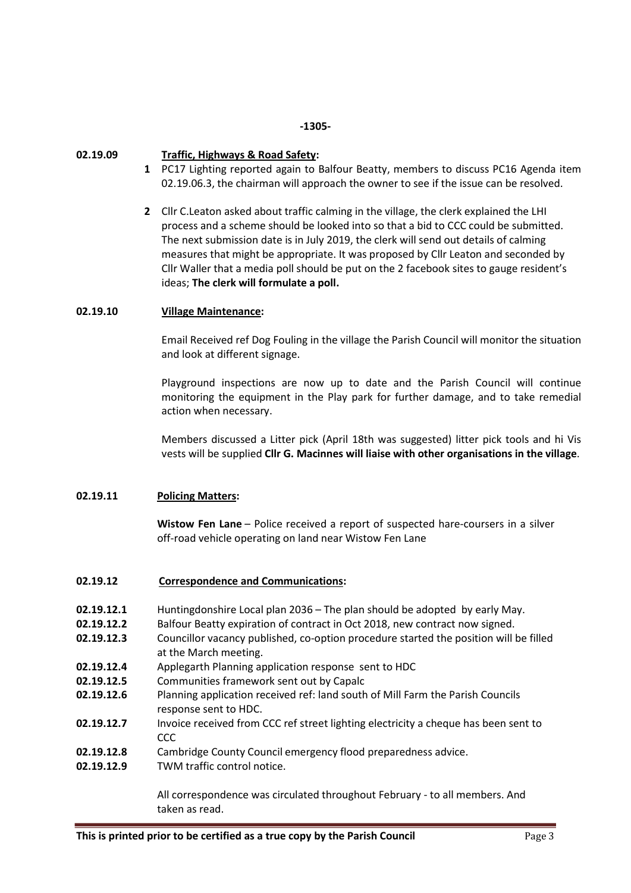#### -1305-

#### 02.19.09 Traffic, Highways & Road Safety:

- 1 PC17 Lighting reported again to Balfour Beatty, members to discuss PC16 Agenda item 02.19.06.3, the chairman will approach the owner to see if the issue can be resolved.
- 2 Cllr C.Leaton asked about traffic calming in the village, the clerk explained the LHI process and a scheme should be looked into so that a bid to CCC could be submitted. The next submission date is in July 2019, the clerk will send out details of calming measures that might be appropriate. It was proposed by Cllr Leaton and seconded by Cllr Waller that a media poll should be put on the 2 facebook sites to gauge resident's ideas; The clerk will formulate a poll.

## 02.19.10 Village Maintenance:

Email Received ref Dog Fouling in the village the Parish Council will monitor the situation and look at different signage.

Playground inspections are now up to date and the Parish Council will continue monitoring the equipment in the Play park for further damage, and to take remedial action when necessary.

Members discussed a Litter pick (April 18th was suggested) litter pick tools and hi Vis vests will be supplied Cllr G. Macinnes will liaise with other organisations in the village.

# 02.19.11 Policing Matters:

Wistow Fen Lane – Police received a report of suspected hare-coursers in a silver off-road vehicle operating on land near Wistow Fen Lane

## 02.19.12 Correspondence and Communications:

- 02.19.12.1 Huntingdonshire Local plan 2036 The plan should be adopted by early May.
- 02.19.12.2 Balfour Beatty expiration of contract in Oct 2018, new contract now signed.
- 02.19.12.3 Councillor vacancy published, co-option procedure started the position will be filled at the March meeting.
- 02.19.12.4 Applegarth Planning application response sent to HDC
- 02.19.12.5 Communities framework sent out by Capalc
- 02.19.12.6 Planning application received ref: land south of Mill Farm the Parish Councils response sent to HDC.
- 02.19.12.7 Invoice received from CCC ref street lighting electricity a cheque has been sent to CCC
- 02.19.12.8 Cambridge County Council emergency flood preparedness advice.
- 02.19.12.9 TWM traffic control notice.

All correspondence was circulated throughout February - to all members. And taken as read.